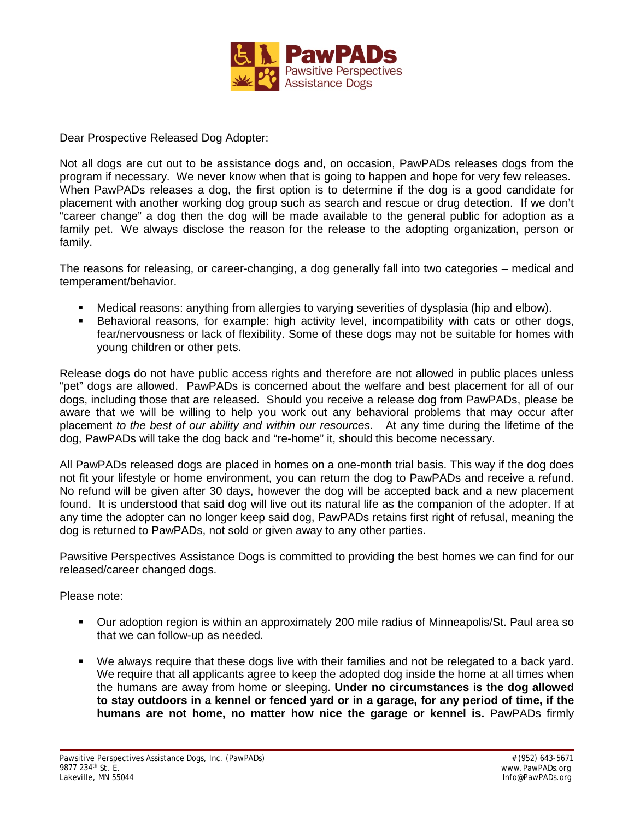

Dear Prospective Released Dog Adopter:

Not all dogs are cut out to be assistance dogs and, on occasion, PawPADs releases dogs from the program if necessary. We never know when that is going to happen and hope for very few releases. When PawPADs releases a dog, the first option is to determine if the dog is a good candidate for placement with another working dog group such as search and rescue or drug detection. If we don't "career change" a dog then the dog will be made available to the general public for adoption as a family pet. We always disclose the reason for the release to the adopting organization, person or family. [.](http://www.southwestservicedogs.org/uploads/pdfs/Royce.pdf)

The reasons for releasing, or career-changing, a dog generally fall into two categories – medical and temperament/behavior.

- Medical reasons: anything from allergies to varying severities of dysplasia (hip and elbow).
- Behavioral reasons, for example: high activity level, incompatibility with cats or other dogs, fear/nervousness or lack of flexibility. Some of these dogs may not be suitable for homes with young children or other pets.

Release dogs do not have public access rights and therefore are not allowed in public places unless "pet" dogs are allowed. PawPADs is concerned about the welfare and best placement for all of our dogs, including those that are released. Should you receive a release dog from PawPADs, please be aware that we will be willing to help you work out any behavioral problems that may occur after placement *to the best of our ability and within our resources*. At any time during the lifetime of the dog, PawPADs will take the dog back and "re-home" it, should this become necessary.

All PawPADs released dogs are placed in homes on a one-month trial basis. This way if the dog does not fit your lifestyle or home environment, you can return the dog to PawPADs and receive a refund. No refund will be given after 30 days, however the dog will be accepted back and a new placement found. It is understood that said dog will live out its natural life as the companion of the adopter. If at any time the adopter can no longer keep said dog, PawPADs retains first right of refusal, meaning the dog is returned to PawPADs, not sold or given away to any other parties.

Pawsitive Perspectives Assistance Dogs is committed to providing the best homes we can find for our released/career changed dogs.

Please note:

- Our adoption region is within an approximately 200 mile radius of Minneapolis/St. Paul area so that we can follow-up as needed.
- We always require that these dogs live with their families and not be relegated to a back yard. We require that all applicants agree to keep the adopted dog inside the home at all times when the humans are away from home or sleeping. **Under no circumstances is the dog allowed to stay outdoors in a kennel or fenced yard or in a garage, for any period of time, if the humans are not home, no matter how nice the garage or kennel is.** PawPADs firmly